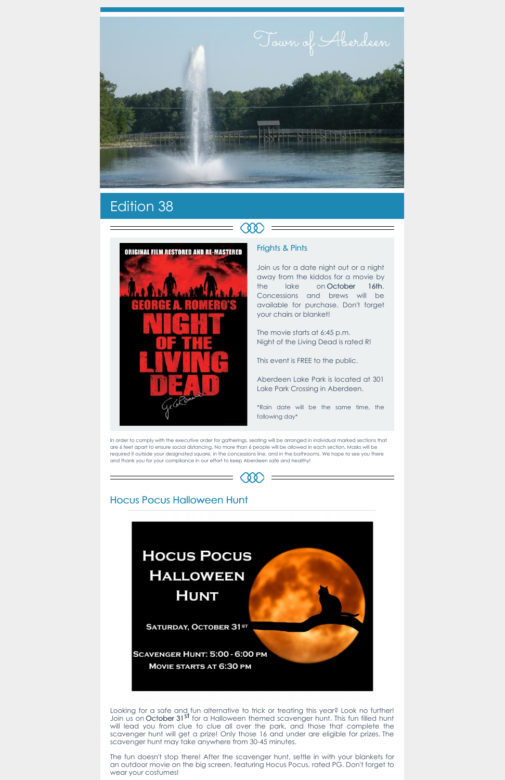

# Edition 38



### Frights & Pints

Join us for a date night out or a night away from the kiddos for a movie by the lake on October 16th. Concessions and brews will be available for purchase. Don't forget your chairs or blanket!

The movie starts at 6:45 p.m. Night of the Living Dead is rated R!

This event is FREE to the public.

Aberdeen Lake Park is located at 301 Lake Park Crossing in Aberdeen.

\*Rain date will be the same time, the following day\*

In order to comply with the executive order for gatherings, seating will be arranged in individual marked sections that are 6 feet apart to ensure social distancing. No more than 6 people will be allowed in each section. Masks will be required if outside your designated square, in the concessions line, and in the bathrooms. We hope to see you there and thank you for your compliance in our effort to keep Aberdeen safe and healthy!



## Hocus Pocus Halloween Hunt



Looking for a safe and fun alternative to trick or treating this year? Look no further! Join us on October 31 st for a Halloween themed scavenger hunt. This fun filled hunt will lead you from clue to clue all over the park, and those that complete the scavenger hunt will get a prize! Only those 16 and under are eligible for prizes. The scavenger hunt may take anywhere from 30-45 minutes.

The fun doesn't stop there! After the scavenger hunt, settle in with your blankets for an outdoor movie on the big screen, featuring Hocus Pocus, rated PG. Don't forget to wear your costumes!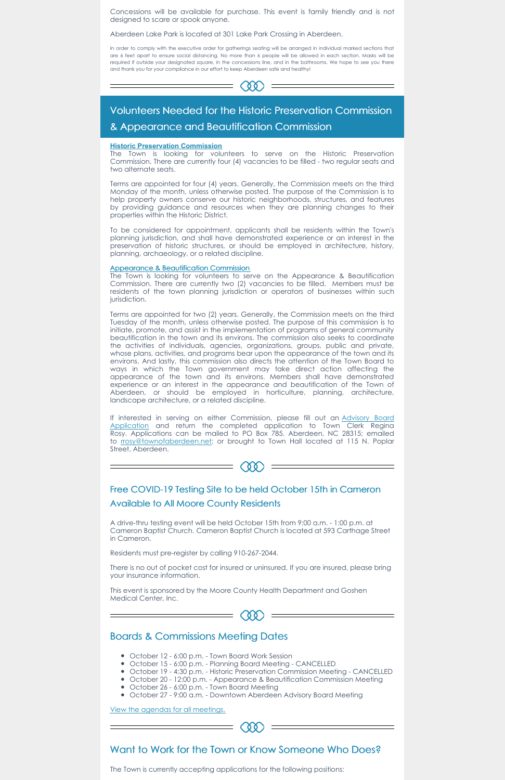Concessions will be available for purchase. This event is family friendly and is not designed to scare or spook anyone.

Aberdeen Lake Park is located at 301 Lake Park Crossing in Aberdeen.

In order to comply with the executive order for gatherings seating will be arranged in individual marked sections that are 6 feet apart to ensure social distancing. No more than 6 people will be allowed in each section. Masks will be required if outside your designated square, in the concessions line, and in the bathrooms. We hope to see you there and thank you for your compliance in our effort to keep Aberdeen safe and healthy!



## Volunteers Needed for the Historic Preservation Commission & Appearance and Beautification Commission

#### **Historic Preservation Commission**

The Town is looking for volunteers to serve on the Appearance & Beautification Commission. There are currently two (2) vacancies to be filled. Members must be residents of the town planning jurisdiction or operators of businesses within such jurisdiction.

The Town is looking for volunteers to serve on the Historic Preservation Commission. There are currently four (4) vacancies to be filled - two regular seats and two alternate seats.

Terms are appointed for four (4) years. Generally, the Commission meets on the third Monday of the month, unless otherwise posted. The purpose of the Commission is to help property owners conserve our historic neighborhoods, structures, and features by providing guidance and resources when they are planning changes to their properties within the Historic District.

To be considered for appointment, applicants shall be residents within the Town's planning jurisdiction, and shall have demonstrated experience or an interest in the preservation of historic structures, or should be employed in architecture, history, planning, archaeology, or a related discipline.

If interested in serving on either [Commission,](https://aberdeennc.municipalone.com/docview.aspx?docid=1565) please fill out an Advisory Board Application and return the completed application to Town Clerk Regina Rosy. Applications can be mailed to PO Box 785, Aberdeen, NC 28315; emailed to **rosy@townofaberdeen.net;** or brought to Town Hall located at 115 N. Poplar Street, Aberdeen.



#### Appearance & Beautification Commission

- October 12 6:00 p.m. Town Board Work Session
- October 15 6:00 p.m. Planning Board Meeting CANCELLED
- October 19 4:30 p.m. Historic Preservation Commission Meeting CANCELLED
- October 20 12:00 p.m. Appearance & Beautification Commission Meeting
- October 26 6:00 p.m. Town Board Meeting
- October 27 9:00 a.m. Downtown Aberdeen Advisory Board Meeting

Terms are appointed for two (2) years. Generally, the Commission meets on the third Tuesday of the month, unless otherwise posted. The purpose of this commission is to initiate, promote, and assist in the implementation of programs of general community beautification in the town and its environs. The commission also seeks to coordinate the activities of individuals, agencies, organizations, groups, public and private, whose plans, activities, and programs bear upon the appearance of the town and its environs. And lastly, this commission also directs the attention of the Town Board to ways in which the Town government may take direct action affecting the appearance of the town and its environs. Members shall have demonstrated experience or an interest in the appearance and beautification of the Town of Aberdeen, or should be employed in horticulture, planning, architecture, landscape architecture, or a related discipline.

## Free COVID-19 Testing Site to be held October 15th in Cameron Available to All Moore County Residents

A drive-thru testing event will be held October 15th from 9:00 a.m. - 1:00 p.m. at Cameron Baptist Church. Cameron Baptist Church is located at 593 Carthage Street in Cameron.

Residents must pre-register by calling 910-267-2044.

There is no out of pocket cost for insured or uninsured. If you are insured, please bring

your insurance information.

This event is sponsored by the Moore County Health Department and Goshen Medical Center, Inc.

 $=$   $\langle \delta \delta \rangle$ 

## Boards & Commissions Meeting Dates

View the agendas for all [meetings.](https://www.townofaberdeen.net/agenda.aspx?id=2146&catid=29)

## Want to Work for the Town or Know Someone Who Does?

The Town is currently accepting applications for the following positions: